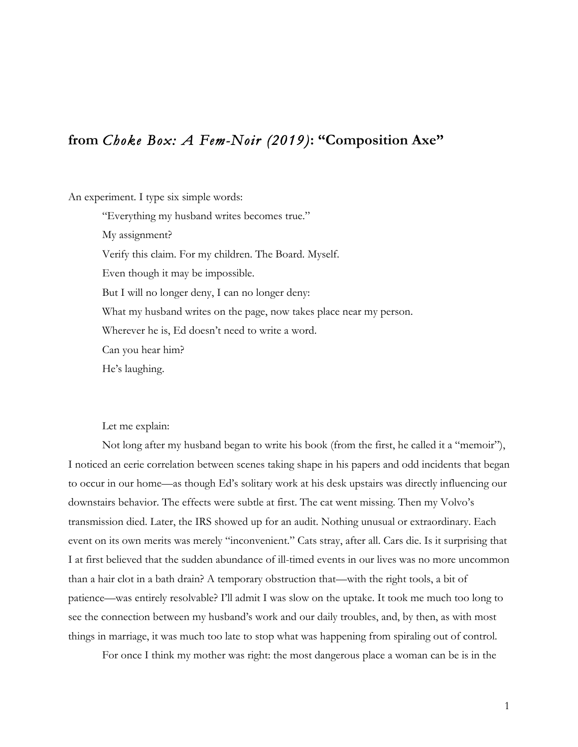## **from** *Choke Box: A Fem-Noir (2019)***: "Composition Axe"**

An experiment. I type six simple words:

"Everything my husband writes becomes true." My assignment? Verify this claim. For my children. The Board. Myself. Even though it may be impossible. But I will no longer deny, I can no longer deny: What my husband writes on the page, now takes place near my person. Wherever he is, Ed doesn't need to write a word. Can you hear him? He's laughing.

## Let me explain:

Not long after my husband began to write his book (from the first, he called it a "memoir"), I noticed an eerie correlation between scenes taking shape in his papers and odd incidents that began to occur in our home—as though Ed's solitary work at his desk upstairs was directly influencing our downstairs behavior. The effects were subtle at first. The cat went missing. Then my Volvo's transmission died. Later, the IRS showed up for an audit. Nothing unusual or extraordinary. Each event on its own merits was merely "inconvenient." Cats stray, after all. Cars die. Is it surprising that I at first believed that the sudden abundance of ill-timed events in our lives was no more uncommon than a hair clot in a bath drain? A temporary obstruction that—with the right tools, a bit of patience—was entirely resolvable? I'll admit I was slow on the uptake. It took me much too long to see the connection between my husband's work and our daily troubles, and, by then, as with most things in marriage, it was much too late to stop what was happening from spiraling out of control.

For once I think my mother was right: the most dangerous place a woman can be is in the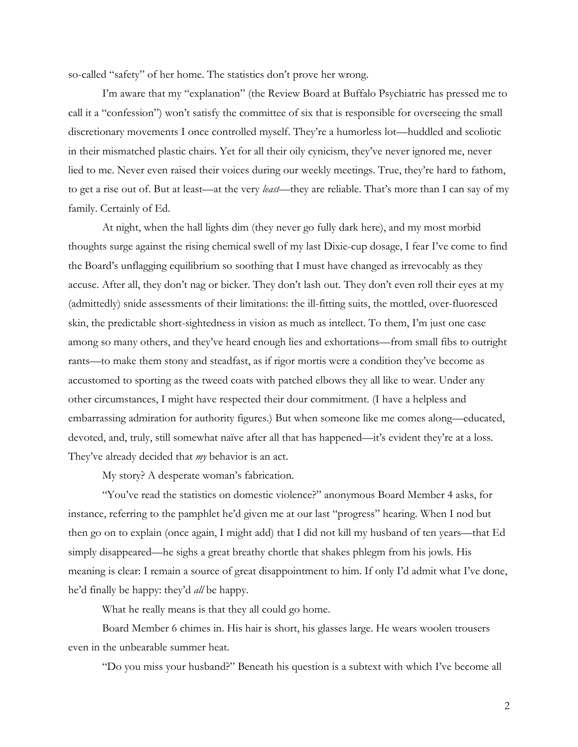so-called "safety" of her home. The statistics don't prove her wrong.

I'm aware that my "explanation" (the Review Board at Buffalo Psychiatric has pressed me to call it a "confession") won't satisfy the committee of six that is responsible for overseeing the small discretionary movements I once controlled myself. They're a humorless lot—huddled and scoliotic in their mismatched plastic chairs. Yet for all their oily cynicism, they've never ignored me, never lied to me. Never even raised their voices during our weekly meetings. True, they're hard to fathom, to get a rise out of. But at least—at the very *least*—they are reliable. That's more than I can say of my family. Certainly of Ed.

At night, when the hall lights dim (they never go fully dark here), and my most morbid thoughts surge against the rising chemical swell of my last Dixie-cup dosage, I fear I've come to find the Board's unflagging equilibrium so soothing that I must have changed as irrevocably as they accuse. After all, they don't nag or bicker. They don't lash out. They don't even roll their eyes at my (admittedly) snide assessments of their limitations: the ill-fitting suits, the mottled, over-fluoresced skin, the predictable short-sightedness in vision as much as intellect. To them, I'm just one case among so many others, and they've heard enough lies and exhortations—from small fibs to outright rants—to make them stony and steadfast, as if rigor mortis were a condition they've become as accustomed to sporting as the tweed coats with patched elbows they all like to wear. Under any other circumstances, I might have respected their dour commitment. (I have a helpless and embarrassing admiration for authority figures.) But when someone like me comes along—educated, devoted, and, truly, still somewhat naïve after all that has happened—it's evident they're at a loss. They've already decided that *my* behavior is an act.

My story? A desperate woman's fabrication.

"You've read the statistics on domestic violence?" anonymous Board Member 4 asks, for instance, referring to the pamphlet he'd given me at our last "progress" hearing. When I nod but then go on to explain (once again, I might add) that I did not kill my husband of ten years—that Ed simply disappeared—he sighs a great breathy chortle that shakes phlegm from his jowls. His meaning is clear: I remain a source of great disappointment to him. If only I'd admit what I've done, he'd finally be happy: they'd *all* be happy.

What he really means is that they all could go home.

Board Member 6 chimes in. His hair is short, his glasses large. He wears woolen trousers even in the unbearable summer heat.

"Do you miss your husband?" Beneath his question is a subtext with which I've become all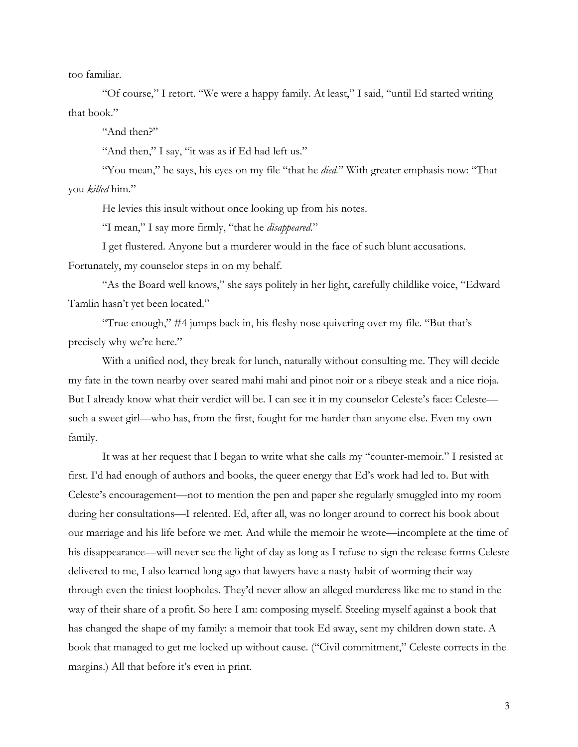too familiar.

"Of course," I retort. "We were a happy family. At least," I said, "until Ed started writing that book."

"And then?"

"And then," I say, "it was as if Ed had left us."

"You mean," he says, his eyes on my file "that he *died.*" With greater emphasis now: "That you *killed* him."

He levies this insult without once looking up from his notes.

"I mean," I say more firmly, "that he *disappeared.*"

I get flustered. Anyone but a murderer would in the face of such blunt accusations. Fortunately, my counselor steps in on my behalf.

"As the Board well knows," she says politely in her light, carefully childlike voice, "Edward Tamlin hasn't yet been located."

"True enough," #4 jumps back in, his fleshy nose quivering over my file. "But that's precisely why we're here."

With a unified nod, they break for lunch, naturally without consulting me. They will decide my fate in the town nearby over seared mahi mahi and pinot noir or a ribeye steak and a nice rioja. But I already know what their verdict will be. I can see it in my counselor Celeste's face: Celeste such a sweet girl—who has, from the first, fought for me harder than anyone else. Even my own family.

It was at her request that I began to write what she calls my "counter-memoir." I resisted at first. I'd had enough of authors and books, the queer energy that Ed's work had led to. But with Celeste's encouragement—not to mention the pen and paper she regularly smuggled into my room during her consultations—I relented. Ed, after all, was no longer around to correct his book about our marriage and his life before we met. And while the memoir he wrote—incomplete at the time of his disappearance—will never see the light of day as long as I refuse to sign the release forms Celeste delivered to me, I also learned long ago that lawyers have a nasty habit of worming their way through even the tiniest loopholes. They'd never allow an alleged murderess like me to stand in the way of their share of a profit. So here I am: composing myself. Steeling myself against a book that has changed the shape of my family: a memoir that took Ed away, sent my children down state. A book that managed to get me locked up without cause. ("Civil commitment," Celeste corrects in the margins.) All that before it's even in print.